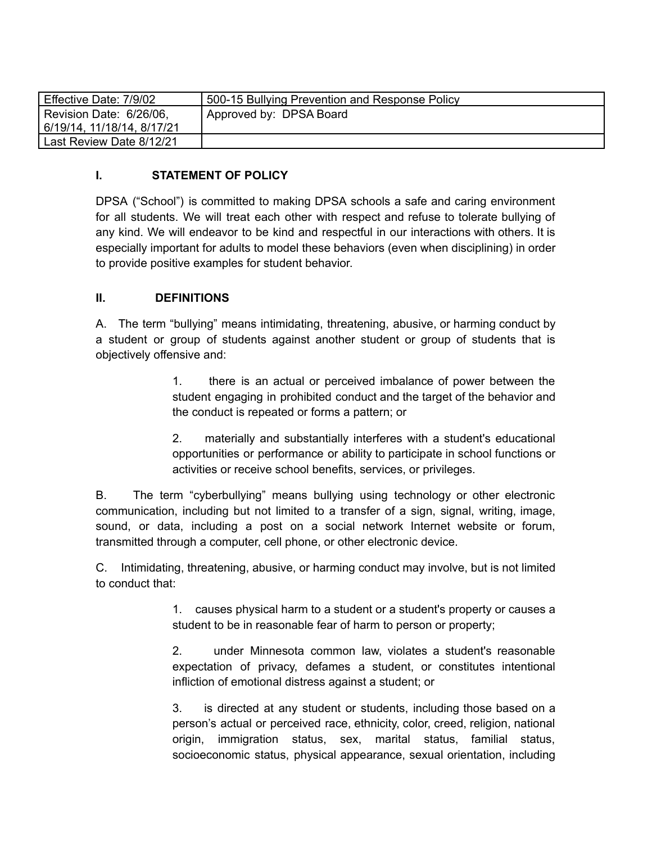| Effective Date: 7/9/02     | 500-15 Bullying Prevention and Response Policy |
|----------------------------|------------------------------------------------|
| Revision Date: 6/26/06,    | Approved by: DPSA Board                        |
| 6/19/14, 11/18/14, 8/17/21 |                                                |
| Last Review Date 8/12/21   |                                                |

#### **I. STATEMENT OF POLICY**

DPSA ("School") is committed to making DPSA schools a safe and caring environment for all students. We will treat each other with respect and refuse to tolerate bullying of any kind. We will endeavor to be kind and respectful in our interactions with others. It is especially important for adults to model these behaviors (even when disciplining) in order to provide positive examples for student behavior.

### **II. DEFINITIONS**

A. The term "bullying" means intimidating, threatening, abusive, or harming conduct by a student or group of students against another student or group of students that is objectively offensive and:

> 1. there is an actual or perceived imbalance of power between the student engaging in prohibited conduct and the target of the behavior and the conduct is repeated or forms a pattern; or

> 2. materially and substantially interferes with a student's educational opportunities or performance or ability to participate in school functions or activities or receive school benefits, services, or privileges.

B. The term "cyberbullying" means bullying using technology or other electronic communication, including but not limited to a transfer of a sign, signal, writing, image, sound, or data, including a post on a social network Internet website or forum, transmitted through a computer, cell phone, or other electronic device.

C. Intimidating, threatening, abusive, or harming conduct may involve, but is not limited to conduct that:

> 1. causes physical harm to a student or a student's property or causes a student to be in reasonable fear of harm to person or property;

> 2. under Minnesota common law, violates a student's reasonable expectation of privacy, defames a student, or constitutes intentional infliction of emotional distress against a student; or

> 3. is directed at any student or students, including those based on a person's actual or perceived race, ethnicity, color, creed, religion, national origin, immigration status, sex, marital status, familial status, socioeconomic status, physical appearance, sexual orientation, including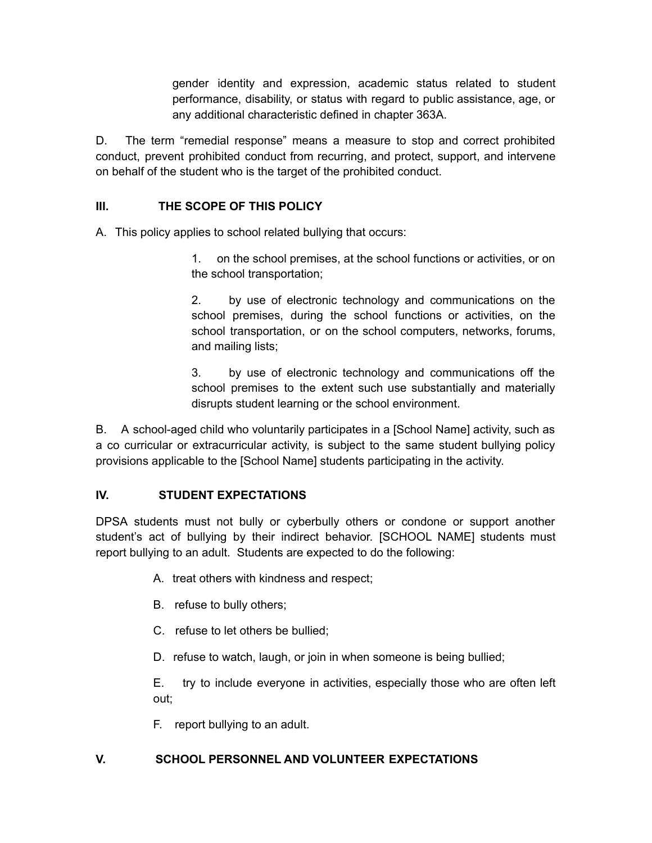gender identity and expression, academic status related to student performance, disability, or status with regard to public assistance, age, or any additional characteristic defined in chapter 363A.

D. The term "remedial response" means a measure to stop and correct prohibited conduct, prevent prohibited conduct from recurring, and protect, support, and intervene on behalf of the student who is the target of the prohibited conduct.

### **III. THE SCOPE OF THIS POLICY**

A. This policy applies to school related bullying that occurs:

1. on the school premises, at the school functions or activities, or on the school transportation;

2. by use of electronic technology and communications on the school premises, during the school functions or activities, on the school transportation, or on the school computers, networks, forums, and mailing lists;

3. by use of electronic technology and communications off the school premises to the extent such use substantially and materially disrupts student learning or the school environment.

B. A school-aged child who voluntarily participates in a [School Name] activity, such as a co curricular or extracurricular activity, is subject to the same student bullying policy provisions applicable to the [School Name] students participating in the activity.

### **IV. STUDENT EXPECTATIONS**

DPSA students must not bully or cyberbully others or condone or support another student's act of bullying by their indirect behavior. [SCHOOL NAME] students must report bullying to an adult. Students are expected to do the following:

- A. treat others with kindness and respect;
- B. refuse to bully others;
- C. refuse to let others be bullied;
- D. refuse to watch, laugh, or join in when someone is being bullied;

E. try to include everyone in activities, especially those who are often left out;

F. report bullying to an adult.

### **V. SCHOOL PERSONNEL AND VOLUNTEER EXPECTATIONS**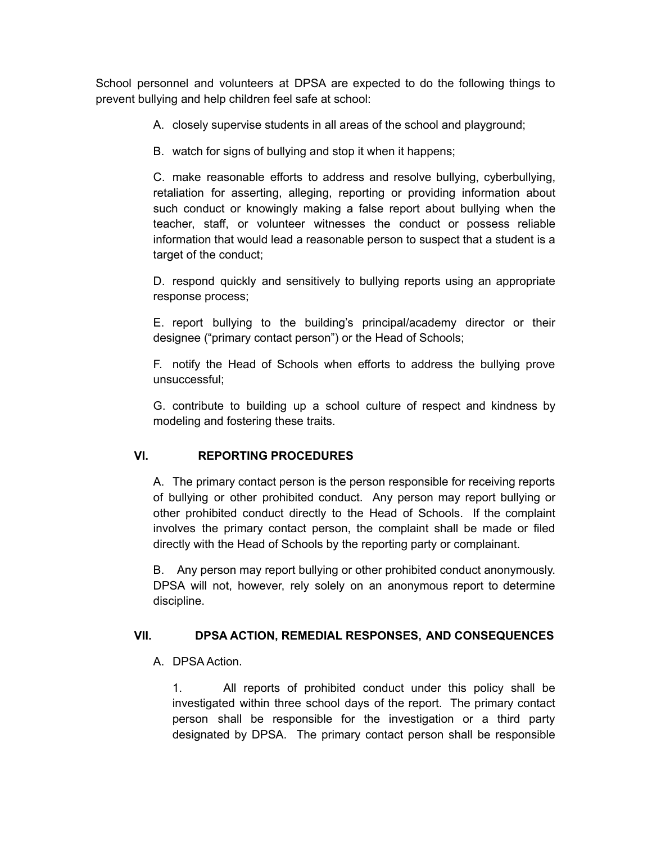School personnel and volunteers at DPSA are expected to do the following things to prevent bullying and help children feel safe at school:

A. closely supervise students in all areas of the school and playground;

B. watch for signs of bullying and stop it when it happens;

C. make reasonable efforts to address and resolve bullying, cyberbullying, retaliation for asserting, alleging, reporting or providing information about such conduct or knowingly making a false report about bullying when the teacher, staff, or volunteer witnesses the conduct or possess reliable information that would lead a reasonable person to suspect that a student is a target of the conduct;

D. respond quickly and sensitively to bullying reports using an appropriate response process;

E. report bullying to the building's principal/academy director or their designee ("primary contact person") or the Head of Schools;

F. notify the Head of Schools when efforts to address the bullying prove unsuccessful;

G. contribute to building up a school culture of respect and kindness by modeling and fostering these traits.

# **VI. REPORTING PROCEDURES**

A. The primary contact person is the person responsible for receiving reports of bullying or other prohibited conduct. Any person may report bullying or other prohibited conduct directly to the Head of Schools. If the complaint involves the primary contact person, the complaint shall be made or filed directly with the Head of Schools by the reporting party or complainant.

B. Any person may report bullying or other prohibited conduct anonymously. DPSA will not, however, rely solely on an anonymous report to determine discipline.

### **VII. DPSA ACTION, REMEDIAL RESPONSES, AND CONSEQUENCES**

# A. DPSA Action.

1. All reports of prohibited conduct under this policy shall be investigated within three school days of the report. The primary contact person shall be responsible for the investigation or a third party designated by DPSA. The primary contact person shall be responsible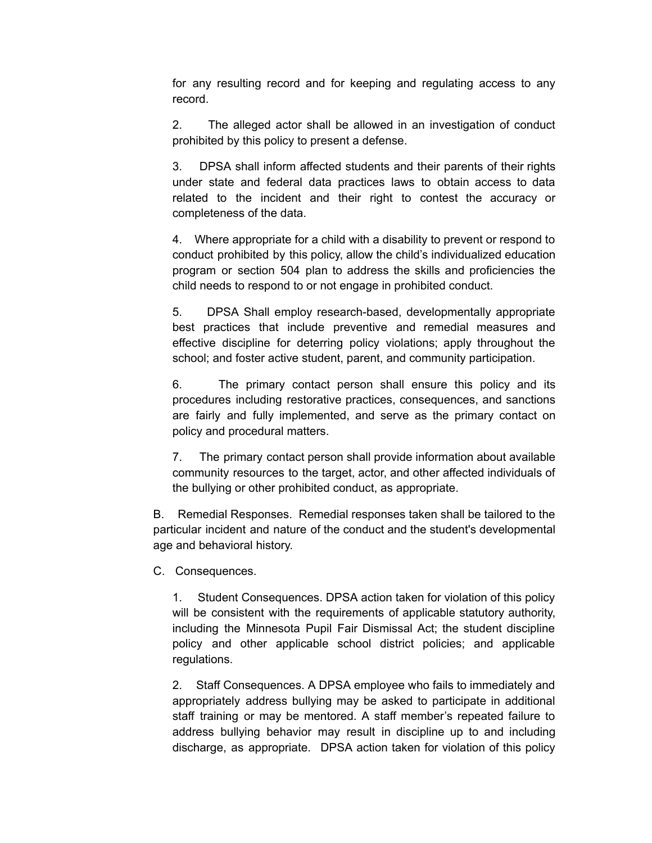for any resulting record and for keeping and regulating access to any record.

2. The alleged actor shall be allowed in an investigation of conduct prohibited by this policy to present a defense.

3. DPSA shall inform affected students and their parents of their rights under state and federal data practices laws to obtain access to data related to the incident and their right to contest the accuracy or completeness of the data.

4. Where appropriate for a child with a disability to prevent or respond to conduct prohibited by this policy, allow the child's individualized education program or section 504 plan to address the skills and proficiencies the child needs to respond to or not engage in prohibited conduct.

5. DPSA Shall employ research-based, developmentally appropriate best practices that include preventive and remedial measures and effective discipline for deterring policy violations; apply throughout the school; and foster active student, parent, and community participation.

6. The primary contact person shall ensure this policy and its procedures including restorative practices, consequences, and sanctions are fairly and fully implemented, and serve as the primary contact on policy and procedural matters.

7. The primary contact person shall provide information about available community resources to the target, actor, and other affected individuals of the bullying or other prohibited conduct, as appropriate.

B. Remedial Responses. Remedial responses taken shall be tailored to the particular incident and nature of the conduct and the student's developmental age and behavioral history.

C. Consequences.

1. Student Consequences. DPSA action taken for violation of this policy will be consistent with the requirements of applicable statutory authority, including the Minnesota Pupil Fair Dismissal Act; the student discipline policy and other applicable school district policies; and applicable regulations.

2. Staff Consequences. A DPSA employee who fails to immediately and appropriately address bullying may be asked to participate in additional staff training or may be mentored. A staff member's repeated failure to address bullying behavior may result in discipline up to and including discharge, as appropriate. DPSA action taken for violation of this policy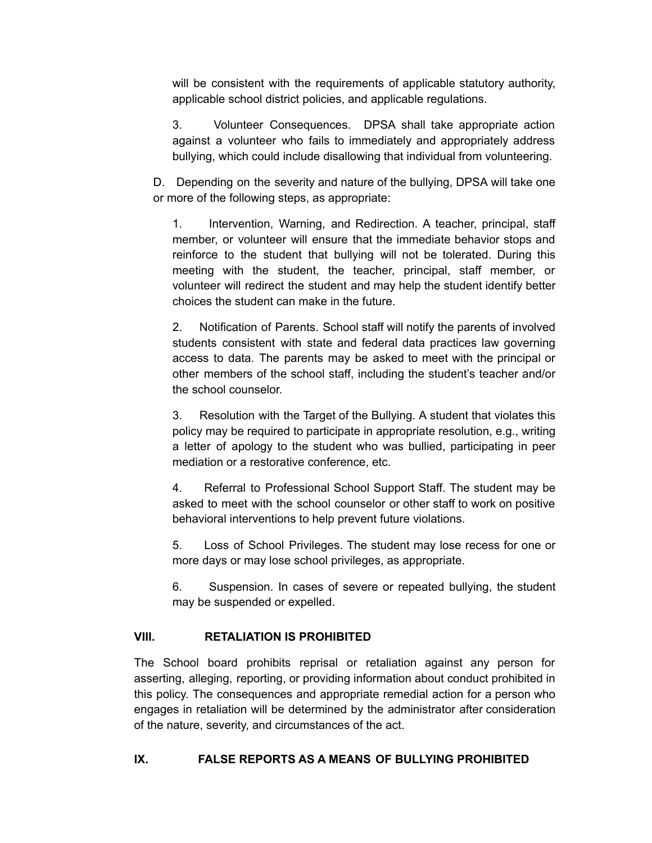will be consistent with the requirements of applicable statutory authority, applicable school district policies, and applicable regulations.

3. Volunteer Consequences. DPSA shall take appropriate action against a volunteer who fails to immediately and appropriately address bullying, which could include disallowing that individual from volunteering.

D. Depending on the severity and nature of the bullying, DPSA will take one or more of the following steps, as appropriate:

1. Intervention, Warning, and Redirection. A teacher, principal, staff member, or volunteer will ensure that the immediate behavior stops and reinforce to the student that bullying will not be tolerated. During this meeting with the student, the teacher, principal, staff member, or volunteer will redirect the student and may help the student identify better choices the student can make in the future.

2. Notification of Parents. School staff will notify the parents of involved students consistent with state and federal data practices law governing access to data. The parents may be asked to meet with the principal or other members of the school staff, including the student's teacher and/or the school counselor.

3. Resolution with the Target of the Bullying. A student that violates this policy may be required to participate in appropriate resolution, e.g., writing a letter of apology to the student who was bullied, participating in peer mediation or a restorative conference, etc.

4. Referral to Professional School Support Staff. The student may be asked to meet with the school counselor or other staff to work on positive behavioral interventions to help prevent future violations.

5. Loss of School Privileges. The student may lose recess for one or more days or may lose school privileges, as appropriate.

6. Suspension. In cases of severe or repeated bullying, the student may be suspended or expelled.

# **VIII. RETALIATION IS PROHIBITED**

The School board prohibits reprisal or retaliation against any person for asserting, alleging, reporting, or providing information about conduct prohibited in this policy. The consequences and appropriate remedial action for a person who engages in retaliation will be determined by the administrator after consideration of the nature, severity, and circumstances of the act.

### **IX. FALSE REPORTS AS A MEANS OF BULLYING PROHIBITED**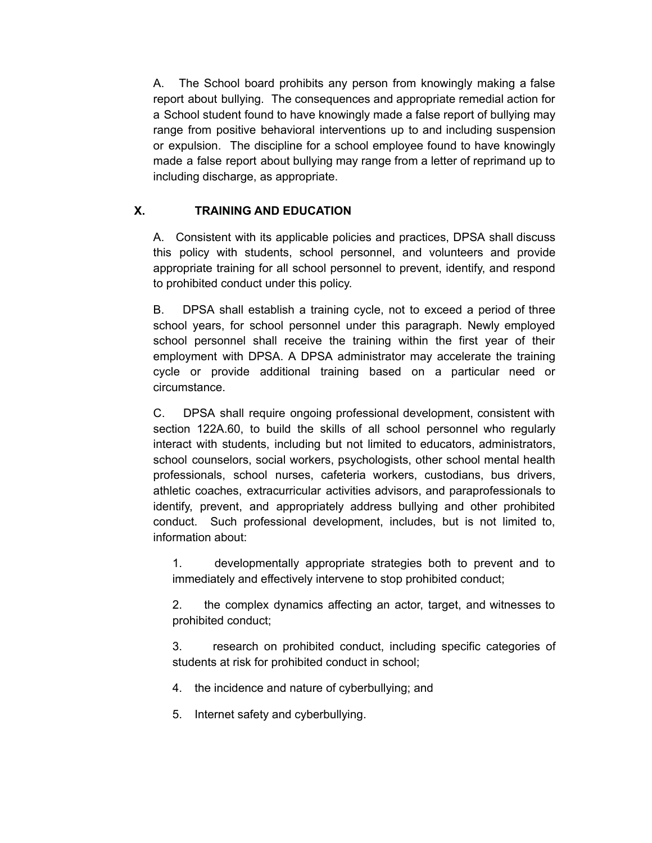A. The School board prohibits any person from knowingly making a false report about bullying. The consequences and appropriate remedial action for a School student found to have knowingly made a false report of bullying may range from positive behavioral interventions up to and including suspension or expulsion. The discipline for a school employee found to have knowingly made a false report about bullying may range from a letter of reprimand up to including discharge, as appropriate.

# **X. TRAINING AND EDUCATION**

A. Consistent with its applicable policies and practices, DPSA shall discuss this policy with students, school personnel, and volunteers and provide appropriate training for all school personnel to prevent, identify, and respond to prohibited conduct under this policy.

B. DPSA shall establish a training cycle, not to exceed a period of three school years, for school personnel under this paragraph. Newly employed school personnel shall receive the training within the first year of their employment with DPSA. A DPSA administrator may accelerate the training cycle or provide additional training based on a particular need or circumstance.

C. DPSA shall require ongoing professional development, consistent with section 122A.60, to build the skills of all school personnel who regularly interact with students, including but not limited to educators, administrators, school counselors, social workers, psychologists, other school mental health professionals, school nurses, cafeteria workers, custodians, bus drivers, athletic coaches, extracurricular activities advisors, and paraprofessionals to identify, prevent, and appropriately address bullying and other prohibited conduct. Such professional development, includes, but is not limited to, information about:

1. developmentally appropriate strategies both to prevent and to immediately and effectively intervene to stop prohibited conduct;

2. the complex dynamics affecting an actor, target, and witnesses to prohibited conduct;

3. research on prohibited conduct, including specific categories of students at risk for prohibited conduct in school;

- 4. the incidence and nature of cyberbullying; and
- 5. Internet safety and cyberbullying.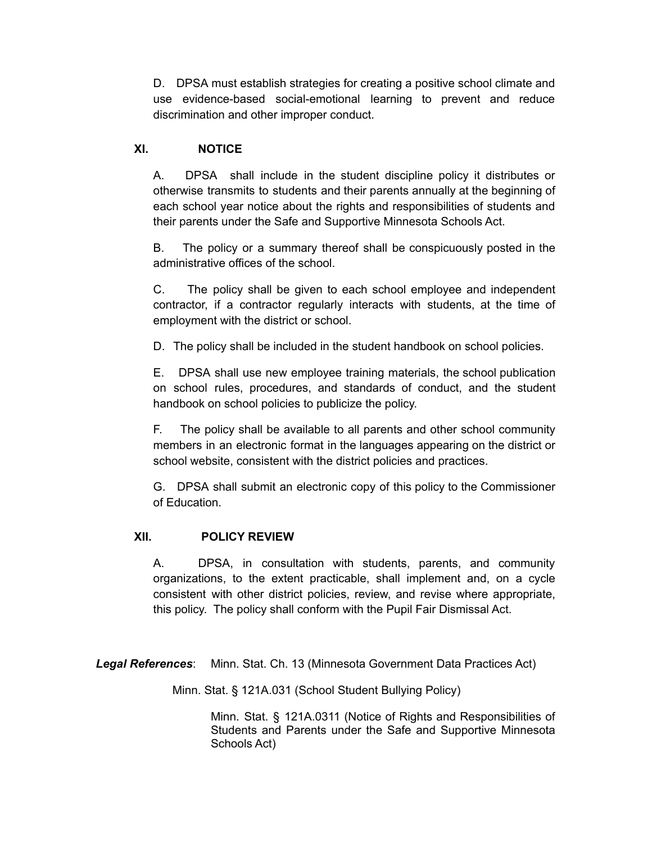D. DPSA must establish strategies for creating a positive school climate and use evidence-based social-emotional learning to prevent and reduce discrimination and other improper conduct.

### **XI. NOTICE**

A. DPSA shall include in the student discipline policy it distributes or otherwise transmits to students and their parents annually at the beginning of each school year notice about the rights and responsibilities of students and their parents under the Safe and Supportive Minnesota Schools Act.

B. The policy or a summary thereof shall be conspicuously posted in the administrative offices of the school.

C. The policy shall be given to each school employee and independent contractor, if a contractor regularly interacts with students, at the time of employment with the district or school.

D. The policy shall be included in the student handbook on school policies.

E. DPSA shall use new employee training materials, the school publication on school rules, procedures, and standards of conduct, and the student handbook on school policies to publicize the policy.

F. The policy shall be available to all parents and other school community members in an electronic format in the languages appearing on the district or school website, consistent with the district policies and practices.

G. DPSA shall submit an electronic copy of this policy to the Commissioner of Education.

### **XII. POLICY REVIEW**

A. DPSA, in consultation with students, parents, and community organizations, to the extent practicable, shall implement and, on a cycle consistent with other district policies, review, and revise where appropriate, this policy. The policy shall conform with the Pupil Fair Dismissal Act.

*Legal References*: Minn. Stat. Ch. 13 (Minnesota Government Data Practices Act)

Minn. Stat. § 121A.031 (School Student Bullying Policy)

Minn. Stat. § 121A.0311 (Notice of Rights and Responsibilities of Students and Parents under the Safe and Supportive Minnesota Schools Act)